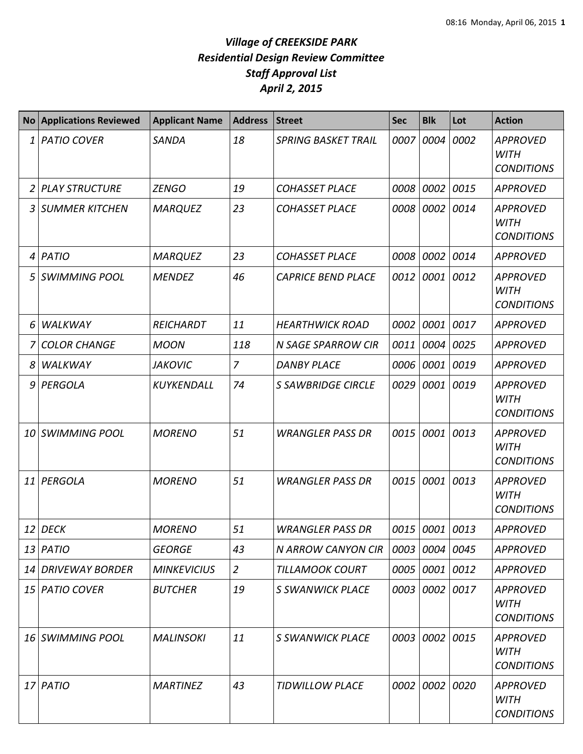| <b>No</b> | <b>Applications Reviewed</b> | <b>Applicant Name</b> | <b>Address</b> | <b>Street</b>              | <b>Sec</b> | <b>Blk</b>     | Lot  | <b>Action</b>                                       |
|-----------|------------------------------|-----------------------|----------------|----------------------------|------------|----------------|------|-----------------------------------------------------|
| 1         | <b>PATIO COVER</b>           | <b>SANDA</b>          | 18             | <b>SPRING BASKET TRAIL</b> | 0007       | 0004           | 0002 | <b>APPROVED</b><br><b>WITH</b><br><b>CONDITIONS</b> |
| 2         | <b>PLAY STRUCTURE</b>        | <b>ZENGO</b>          | 19             | <b>COHASSET PLACE</b>      | 0008       | 0002           | 0015 | <b>APPROVED</b>                                     |
| 3         | <b>SUMMER KITCHEN</b>        | <b>MARQUEZ</b>        | 23             | <b>COHASSET PLACE</b>      | 0008       | 0002 0014      |      | <b>APPROVED</b><br><b>WITH</b><br><b>CONDITIONS</b> |
| 4         | <b>PATIO</b>                 | <b>MARQUEZ</b>        | 23             | <b>COHASSET PLACE</b>      | 0008       | 0002           | 0014 | APPROVED                                            |
| 5         | <b>SWIMMING POOL</b>         | <b>MENDEZ</b>         | 46             | <b>CAPRICE BEND PLACE</b>  | 0012       | 0001 0012      |      | <b>APPROVED</b><br><b>WITH</b><br><b>CONDITIONS</b> |
| 6         | WALKWAY                      | <b>REICHARDT</b>      | 11             | <b>HEARTHWICK ROAD</b>     | 0002       | 0001           | 0017 | <b>APPROVED</b>                                     |
|           | <b>COLOR CHANGE</b>          | <b>MOON</b>           | 118            | <b>N SAGE SPARROW CIR</b>  | 0011       | 0004 0025      |      | <b>APPROVED</b>                                     |
| 8         | WALKWAY                      | <b>JAKOVIC</b>        | $\overline{7}$ | <b>DANBY PLACE</b>         | 0006       | 0001           | 0019 | <b>APPROVED</b>                                     |
| 9         | PERGOLA                      | <b>KUYKENDALL</b>     | 74             | <b>S SAWBRIDGE CIRCLE</b>  | 0029       | 0001           | 0019 | <b>APPROVED</b><br><b>WITH</b><br><b>CONDITIONS</b> |
| 10        | <b>SWIMMING POOL</b>         | <b>MORENO</b>         | 51             | <b>WRANGLER PASS DR</b>    | 0015       | 0001           | 0013 | <b>APPROVED</b><br><b>WITH</b><br><b>CONDITIONS</b> |
| 11        | PERGOLA                      | <b>MORENO</b>         | 51             | <b>WRANGLER PASS DR</b>    | 0015       | 0001           | 0013 | <b>APPROVED</b><br><b>WITH</b><br><b>CONDITIONS</b> |
| 12        | <b>DECK</b>                  | <b>MORENO</b>         | 51             | <b>WRANGLER PASS DR</b>    | 0015       | 0001           | 0013 | <b>APPROVED</b>                                     |
|           | $13$ PATIO                   | <b>GEORGE</b>         | 43             | N ARROW CANYON CIR         | 0003       | 0004 0045      |      | <b>APPROVED</b>                                     |
| 14        | <b>DRIVEWAY BORDER</b>       | <b>MINKEVICIUS</b>    | $\overline{2}$ | <b>TILLAMOOK COURT</b>     | 0005       | 0001 0012      |      | <b>APPROVED</b>                                     |
| 15        | <b>PATIO COVER</b>           | <b>BUTCHER</b>        | 19             | S SWANWICK PLACE           |            | 0003 0002 0017 |      | <b>APPROVED</b><br><b>WITH</b><br><b>CONDITIONS</b> |
|           | 16 SWIMMING POOL             | <b>MALINSOKI</b>      | 11             | S SWANWICK PLACE           | 0003       | 0002 0015      |      | <b>APPROVED</b><br><b>WITH</b><br><b>CONDITIONS</b> |
| 17        | PATIO                        | <b>MARTINEZ</b>       | 43             | <b>TIDWILLOW PLACE</b>     | 0002       | $0002$ 0020    |      | <b>APPROVED</b><br><b>WITH</b><br><b>CONDITIONS</b> |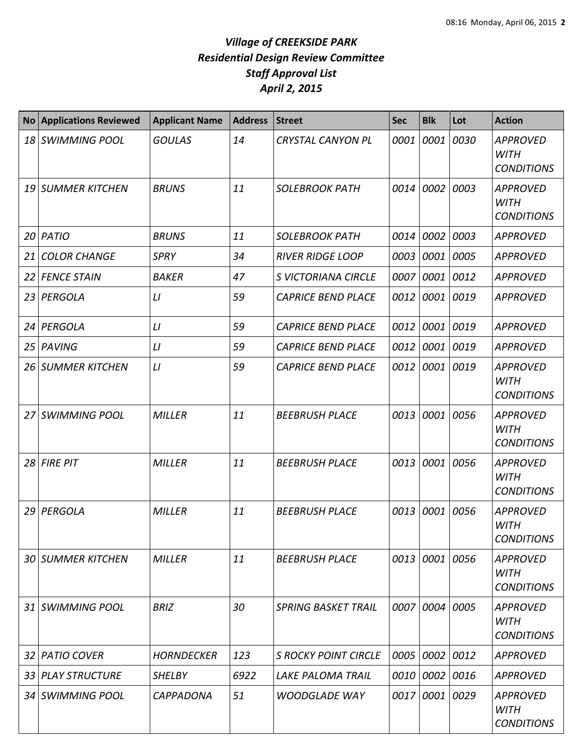| N <sub>O</sub> | <b>Applications Reviewed</b> | <b>Applicant Name</b> | <b>Address</b> | <b>Street</b>               | <b>Sec</b> | <b>Blk</b>     | Lot         | <b>Action</b>                                       |
|----------------|------------------------------|-----------------------|----------------|-----------------------------|------------|----------------|-------------|-----------------------------------------------------|
|                | 18 SWIMMING POOL             | <b>GOULAS</b>         | 14             | <b>CRYSTAL CANYON PL</b>    | 0001       | 0001           | 0030        | <b>APPROVED</b><br><b>WITH</b><br><b>CONDITIONS</b> |
|                | 19 SUMMER KITCHEN            | <b>BRUNS</b>          | 11             | <b>SOLEBROOK PATH</b>       | 0014       | 0002           | 0003        | <b>APPROVED</b><br><b>WITH</b><br><b>CONDITIONS</b> |
|                | 20 PATIO                     | <b>BRUNS</b>          | 11             | <b>SOLEBROOK PATH</b>       | 0014       | 0002           | 0003        | <b>APPROVED</b>                                     |
| 21             | <b>COLOR CHANGE</b>          | <b>SPRY</b>           | 34             | <b>RIVER RIDGE LOOP</b>     | 0003       |                | 0001 0005   | <b>APPROVED</b>                                     |
|                | 22 FENCE STAIN               | <b>BAKER</b>          | 47             | <b>S VICTORIANA CIRCLE</b>  | 0007       |                | 0001 0012   | <b>APPROVED</b>                                     |
|                | 23 PERGOLA                   | LI                    | 59             | <b>CAPRICE BEND PLACE</b>   | 0012       | 0001           | 0019        | <b>APPROVED</b>                                     |
|                | 24 PERGOLA                   | L1                    | 59             | <b>CAPRICE BEND PLACE</b>   | 0012       |                | 0001 0019   | <b>APPROVED</b>                                     |
|                | 25 PAVING                    | LI                    | 59             | <b>CAPRICE BEND PLACE</b>   | 0012       |                | 0001 0019   | <b>APPROVED</b>                                     |
|                | 26 SUMMER KITCHEN            | LI                    | 59             | <b>CAPRICE BEND PLACE</b>   | 0012       |                | 0001 0019   | <b>APPROVED</b><br><b>WITH</b><br><b>CONDITIONS</b> |
|                | 27 SWIMMING POOL             | <b>MILLER</b>         | 11             | <b>BEEBRUSH PLACE</b>       | 0013       |                | 0001 0056   | <b>APPROVED</b><br><b>WITH</b><br><b>CONDITIONS</b> |
|                | $28$ FIRE PIT                | <b>MILLER</b>         | 11             | <b>BEEBRUSH PLACE</b>       | 0013       |                | 0001 0056   | <b>APPROVED</b><br><b>WITH</b><br><b>CONDITIONS</b> |
| 29             | PERGOLA                      | <b>MILLER</b>         | 11             | <b>BEEBRUSH PLACE</b>       | 0013       | 0001           | 0056        | <b>APPROVED</b><br><b>WITH</b><br><b>CONDITIONS</b> |
|                | <b>30 SUMMER KITCHEN</b>     | <b>MILLER</b>         | 11             | <b>BEEBRUSH PLACE</b>       |            | 0013 0001 0056 |             | <b>APPROVED</b><br>WITH<br><b>CONDITIONS</b>        |
|                | 31 SWIMMING POOL             | <b>BRIZ</b>           | 30             | <b>SPRING BASKET TRAIL</b>  |            | 0007 0004 0005 |             | <b>APPROVED</b><br>WITH<br><b>CONDITIONS</b>        |
|                | 32 PATIO COVER               | <b>HORNDECKER</b>     | 123            | <b>S ROCKY POINT CIRCLE</b> | 0005       |                | 0002 0012   | APPROVED                                            |
|                | 33 PLAY STRUCTURE            | <b>SHELBY</b>         | 6922           | <b>LAKE PALOMA TRAIL</b>    | 0010       |                | $0002$ 0016 | <b>APPROVED</b>                                     |
|                | 34 SWIMMING POOL             | <b>CAPPADONA</b>      | 51             | <b>WOODGLADE WAY</b>        | 0017       |                | 0001 0029   | <b>APPROVED</b><br><b>WITH</b><br><b>CONDITIONS</b> |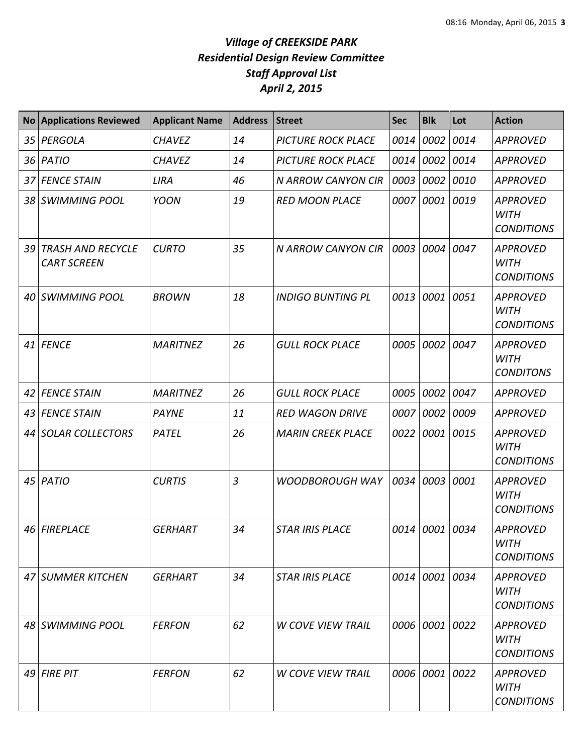| <b>No</b> | <b>Applications Reviewed</b>                   | <b>Applicant Name</b> | <b>Address</b> | <b>Street</b>             | <b>Sec</b> | <b>Blk</b>     | Lot  | <b>Action</b>                                       |
|-----------|------------------------------------------------|-----------------------|----------------|---------------------------|------------|----------------|------|-----------------------------------------------------|
| 35        | PERGOLA                                        | <b>CHAVEZ</b>         | 14             | <b>PICTURE ROCK PLACE</b> | 0014       | 0002           | 0014 | <b>APPROVED</b>                                     |
|           | 36 <i>PATIO</i>                                | <b>CHAVEZ</b>         | 14             | <b>PICTURE ROCK PLACE</b> | 0014       | 0002           | 0014 | <b>APPROVED</b>                                     |
| 37        | <b>FENCE STAIN</b>                             | <b>LIRA</b>           | 46             | N ARROW CANYON CIR        | 0003       | 0002           | 0010 | <b>APPROVED</b>                                     |
|           | 38 SWIMMING POOL                               | <b>YOON</b>           | 19             | <b>RED MOON PLACE</b>     | 0007       | 0001           | 0019 | <b>APPROVED</b><br><b>WITH</b><br><b>CONDITIONS</b> |
| 39        | <b>TRASH AND RECYCLE</b><br><b>CART SCREEN</b> | <b>CURTO</b>          | 35             | <b>N ARROW CANYON CIR</b> | 0003       | 0004           | 0047 | <b>APPROVED</b><br><b>WITH</b><br><b>CONDITIONS</b> |
| 40        | <b>SWIMMING POOL</b>                           | <b>BROWN</b>          | 18             | <b>INDIGO BUNTING PL</b>  | 0013       | 0001           | 0051 | <b>APPROVED</b><br><b>WITH</b><br><b>CONDITIONS</b> |
|           | 41 FENCE                                       | <b>MARITNEZ</b>       | 26             | <b>GULL ROCK PLACE</b>    | 0005       | 0002           | 0047 | <b>APPROVED</b><br><b>WITH</b><br><b>CONDITONS</b>  |
| 42        | <b>FENCE STAIN</b>                             | <b>MARITNEZ</b>       | 26             | <b>GULL ROCK PLACE</b>    | 0005       | 0002           | 0047 | <b>APPROVED</b>                                     |
| 43        | <b>FENCE STAIN</b>                             | <b>PAYNE</b>          | 11             | <b>RED WAGON DRIVE</b>    | 0007       | 0002           | 0009 | <b>APPROVED</b>                                     |
| 44        | SOLAR COLLECTORS                               | PATEL                 | 26             | <b>MARIN CREEK PLACE</b>  | 0022       | 0001           | 0015 | <b>APPROVED</b><br><b>WITH</b><br><b>CONDITIONS</b> |
|           | 45 PATIO                                       | <b>CURTIS</b>         | 3              | <b>WOODBOROUGH WAY</b>    | 0034       | 0003           | 0001 | <b>APPROVED</b><br><b>WITH</b><br><b>CONDITIONS</b> |
|           | 46 FIREPLACE                                   | <b>GERHART</b>        | 34             | <b>STAR IRIS PLACE</b>    | 0014       | 0001           | 0034 | <b>APPROVED</b><br>WITH<br><b>CONDITIONS</b>        |
| 47        | <b>SUMMER KITCHEN</b>                          | <b>GERHART</b>        | 34             | <b>STAR IRIS PLACE</b>    | 0014       | 0001 0034      |      | <b>APPROVED</b><br><b>WITH</b><br><b>CONDITIONS</b> |
|           | 48 SWIMMING POOL                               | <b>FERFON</b>         | 62             | <b>W COVE VIEW TRAIL</b>  | 0006       | 0001 0022      |      | APPROVED<br><b>WITH</b><br><b>CONDITIONS</b>        |
|           | $49$ FIRE PIT                                  | <b>FERFON</b>         | 62             | <b>W COVE VIEW TRAIL</b>  |            | 0006 0001 0022 |      | <b>APPROVED</b><br><b>WITH</b><br><b>CONDITIONS</b> |